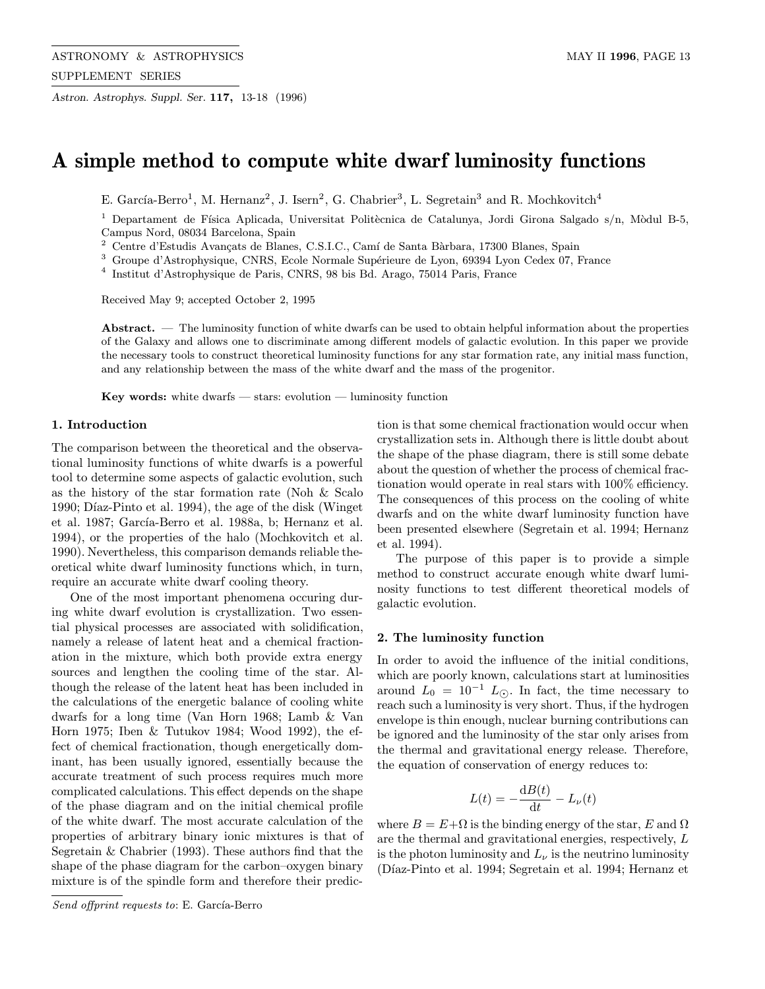Astron. Astrophys. Suppl. Ser. 117, 13-18 (1996)

# A simple method to compute white dwarf luminosity functions

E. García-Berro<sup>1</sup>, M. Hernanz<sup>2</sup>, J. Isern<sup>2</sup>, G. Chabrier<sup>3</sup>, L. Segretain<sup>3</sup> and R. Mochkovitch<sup>4</sup>

<sup>1</sup> Departament de Física Aplicada, Universitat Politècnica de Catalunya, Jordi Girona Salgado s/n, Mòdul B-5, Campus Nord, 08034 Barcelona, Spain

 $^2\,$  Centre d'Estudis Avançats de Blanes, C.S.I.C., Camí de Santa Bàrbara, 17300 Blanes, Spain

<sup>3</sup> Groupe d'Astrophysique, CNRS, Ecole Normale Supérieure de Lyon, 69394 Lyon Cedex 07, France

<sup>4</sup> Institut d'Astrophysique de Paris, CNRS, 98 bis Bd. Arago, 75014 Paris, France

Received May 9; accepted October 2, 1995

Abstract. — The luminosity function of white dwarfs can be used to obtain helpful information about the properties of the Galaxy and allows one to discriminate among different models of galactic evolution. In this paper we provide the necessary tools to construct theoretical luminosity functions for any star formation rate, any initial mass function, and any relationship between the mass of the white dwarf and the mass of the progenitor.

Key words: white dwarfs  $-$  stars: evolution  $-$  luminosity function

## 1. Introduction

The comparison between the theoretical and the observational luminosity functions of white dwarfs is a powerful tool to determine some aspects of galactic evolution, such as the history of the star formation rate (Noh & Scalo 1990; Díaz-Pinto et al. 1994), the age of the disk (Winget et al. 1987; García-Berro et al. 1988a, b; Hernanz et al. 1994), or the properties of the halo (Mochkovitch et al. 1990). Nevertheless, this comparison demands reliable theoretical white dwarf luminosity functions which, in turn, require an accurate white dwarf cooling theory.

One of the most important phenomena occuring during white dwarf evolution is crystallization. Two essential physical processes are associated with solidification, namely a release of latent heat and a chemical fractionation in the mixture, which both provide extra energy sources and lengthen the cooling time of the star. Although the release of the latent heat has been included in the calculations of the energetic balance of cooling white dwarfs for a long time (Van Horn 1968; Lamb & Van Horn 1975; Iben & Tutukov 1984; Wood 1992), the effect of chemical fractionation, though energetically dominant, has been usually ignored, essentially because the accurate treatment of such process requires much more complicated calculations. This effect depends on the shape of the phase diagram and on the initial chemical profile of the white dwarf. The most accurate calculation of the properties of arbitrary binary ionic mixtures is that of Segretain & Chabrier (1993). These authors find that the shape of the phase diagram for the carbon–oxygen binary mixture is of the spindle form and therefore their prediction is that some chemical fractionation would occur when crystallization sets in. Although there is little doubt about the shape of the phase diagram, there is still some debate about the question of whether the process of chemical fractionation would operate in real stars with 100% efficiency. The consequences of this process on the cooling of white dwarfs and on the white dwarf luminosity function have been presented elsewhere (Segretain et al. 1994; Hernanz et al. 1994).

The purpose of this paper is to provide a simple method to construct accurate enough white dwarf luminosity functions to test different theoretical models of galactic evolution.

### 2. The luminosity function

In order to avoid the influence of the initial conditions, which are poorly known, calculations start at luminosities around  $L_0 = 10^{-1} L_{\odot}$ . In fact, the time necessary to reach such a luminosity is very short. Thus, if the hydrogen envelope is thin enough, nuclear burning contributions can be ignored and the luminosity of the star only arises from the thermal and gravitational energy release. Therefore, the equation of conservation of energy reduces to:

$$
L(t) = -\frac{\mathrm{d}B(t)}{\mathrm{d}t} - L_{\nu}(t)
$$

where  $B = E + \Omega$  is the binding energy of the star, E and  $\Omega$ are the thermal and gravitational energies, respectively, L is the photon luminosity and  $L_{\nu}$  is the neutrino luminosity (Díaz-Pinto et al. 1994; Segretain et al. 1994; Hernanz et

Send offprint requests to: E. García-Berro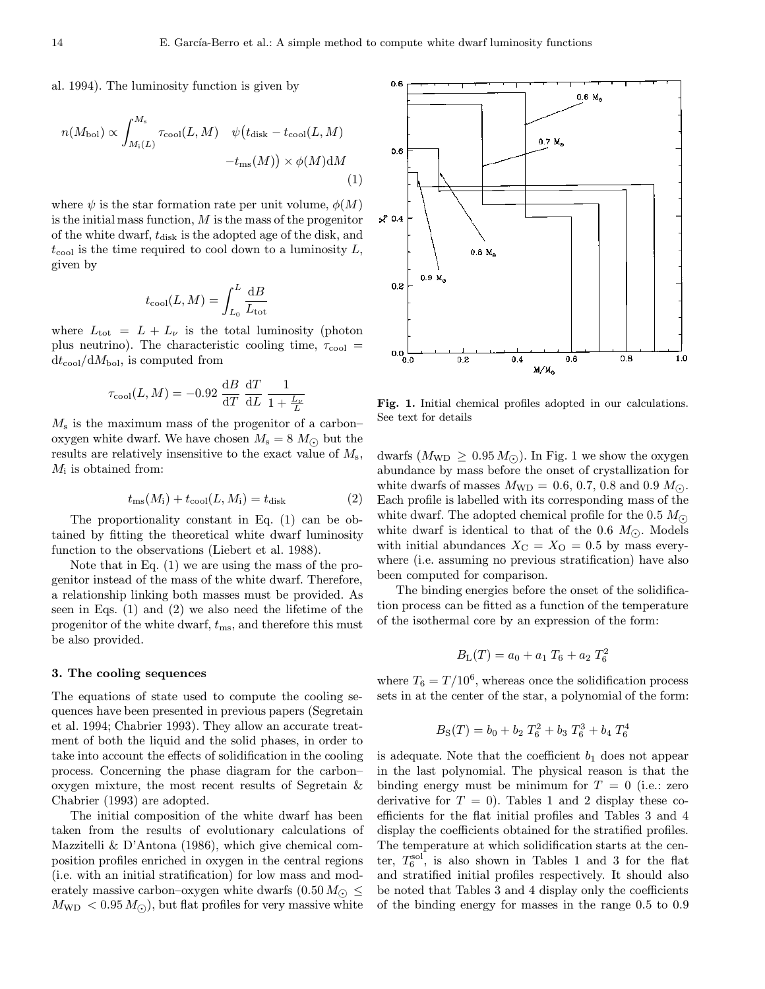al. 1994). The luminosity function is given by

$$
n(M_{\text{bol}}) \propto \int_{M_{\text{i}}(L)}^{M_{\text{s}}} \tau_{\text{cool}}(L, M) \quad \psi(t_{\text{disk}} - t_{\text{cool}}(L, M) - t_{\text{ms}}(M)) \times \phi(M) \text{d}M
$$
\n(1)

where  $\psi$  is the star formation rate per unit volume,  $\phi(M)$ is the initial mass function,  $M$  is the mass of the progenitor of the white dwarf,  $t_{\text{disk}}$  is the adopted age of the disk, and  $t_{\rm cool}$  is the time required to cool down to a luminosity  $L$ , given by

$$
t_{\rm cool}(L,M) = \int_{L_0}^{L} \frac{\mathrm{d}B}{L_{\rm tot}}
$$

where  $L_{\text{tot}} = L + L_{\nu}$  is the total luminosity (photon plus neutrino). The characteristic cooling time,  $\tau_{\text{cool}} =$  $dt_{\text{cool}}/dM_{\text{bol}}$ , is computed from

$$
\tau_{\rm cool}(L, M) = -0.92 \frac{\mathrm{d}B}{\mathrm{d}T} \frac{\mathrm{d}T}{\mathrm{d}L} \frac{1}{1 + \frac{L_{\nu}}{L}}
$$

 $M<sub>s</sub>$  is the maximum mass of the progenitor of a carbon– oxygen white dwarf. We have chosen  $M_s = 8 M_{\odot}$  but the results are relatively insensitive to the exact value of  $M_s$ ,  $M_i$  is obtained from:

$$
t_{\text{ms}}(M_{\text{i}}) + t_{\text{cool}}(L, M_{\text{i}}) = t_{\text{disk}} \tag{2}
$$

The proportionality constant in Eq. (1) can be obtained by fitting the theoretical white dwarf luminosity function to the observations (Liebert et al. 1988).

Note that in Eq. (1) we are using the mass of the progenitor instead of the mass of the white dwarf. Therefore, a relationship linking both masses must be provided. As seen in Eqs. (1) and (2) we also need the lifetime of the progenitor of the white dwarf,  $t_{\text{ms}}$ , and therefore this must be also provided.

## 3. The cooling sequences

The equations of state used to compute the cooling sequences have been presented in previous papers (Segretain et al. 1994; Chabrier 1993). They allow an accurate treatment of both the liquid and the solid phases, in order to take into account the effects of solidification in the cooling process. Concerning the phase diagram for the carbon– oxygen mixture, the most recent results of Segretain & Chabrier (1993) are adopted.

The initial composition of the white dwarf has been taken from the results of evolutionary calculations of Mazzitelli & D'Antona (1986), which give chemical composition profiles enriched in oxygen in the central regions (i.e. with an initial stratification) for low mass and moderately massive carbon–oxygen white dwarfs  $(0.50 M_{\odot} \leq$  $M_{\text{WD}} < 0.95 M_{\odot}$ , but flat profiles for very massive white

Fig. 1. Initial chemical profiles adopted in our calculations. See text for details

dwarfs  $(M_{WD} \geq 0.95 M_{\odot})$ . In Fig. 1 we show the oxygen abundance by mass before the onset of crystallization for white dwarfs of masses  $M_{WD} = 0.6, 0.7, 0.8$  and  $0.9 M_{\odot}$ . Each profile is labelled with its corresponding mass of the white dwarf. The adopted chemical profile for the 0.5  $M_{\odot}$ white dwarf is identical to that of the 0.6  $M_{\odot}$ . Models with initial abundances  $X_{\text{C}} = X_{\text{O}} = 0.5$  by mass everywhere (i.e. assuming no previous stratification) have also been computed for comparison.

The binding energies before the onset of the solidification process can be fitted as a function of the temperature of the isothermal core by an expression of the form:

$$
B_{\rm L}(T) = a_0 + a_1 T_6 + a_2 T_6^2
$$

where  $T_6 = T/10^6$ , whereas once the solidification process sets in at the center of the star, a polynomial of the form:

$$
B_{\rm S}(T) = b_0 + b_2 T_6^2 + b_3 T_6^3 + b_4 T_6^4
$$

is adequate. Note that the coefficient  $b_1$  does not appear in the last polynomial. The physical reason is that the binding energy must be minimum for  $T = 0$  (i.e.: zero derivative for  $T = 0$ . Tables 1 and 2 display these coefficients for the flat initial profiles and Tables 3 and 4 display the coefficients obtained for the stratified profiles. The temperature at which solidification starts at the center,  $T_6^{\text{sol}}$ , is also shown in Tables 1 and 3 for the flat and stratified initial profiles respectively. It should also be noted that Tables 3 and 4 display only the coefficients of the binding energy for masses in the range 0.5 to 0.9

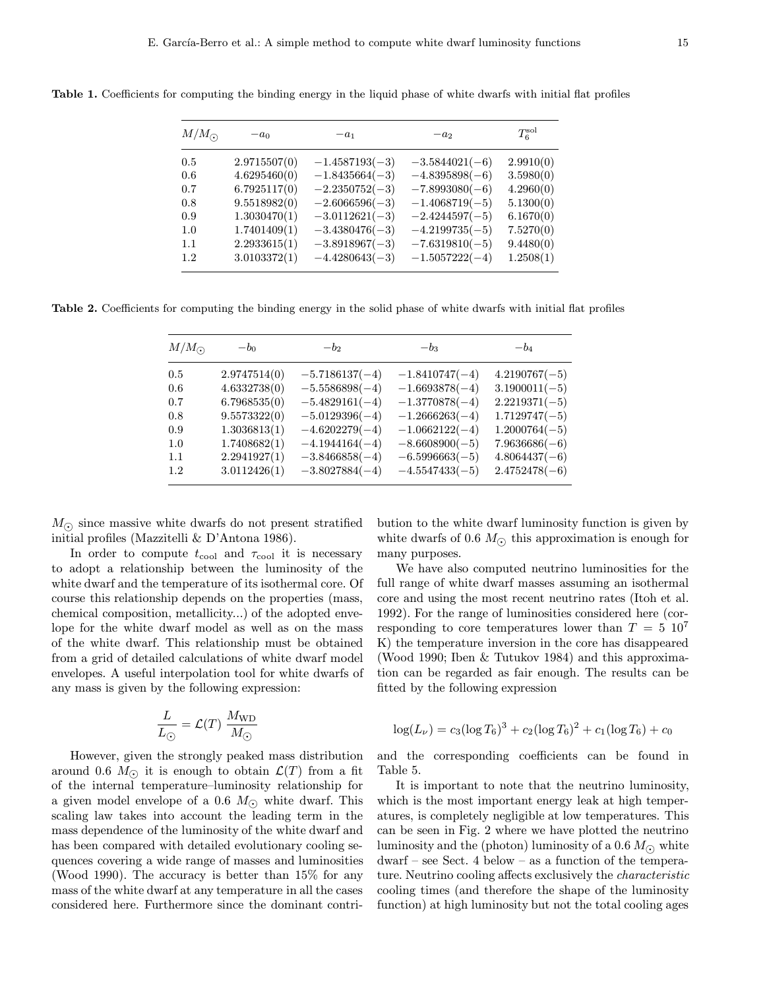| $M/M_{\odot}$ | $-a0$        | $-a1$            | $-a2$            | $T_6^{\rm sol}$ |
|---------------|--------------|------------------|------------------|-----------------|
| 0.5           | 2.9715507(0) | $-1.4587193(-3)$ | $-3.5844021(-6)$ | 2.9910(0)       |
| 0.6           | 4.6295460(0) | $-1.8435664(-3)$ | $-4.8395898(-6)$ | 3.5980(0)       |
| 0.7           | 6.7925117(0) | $-2.2350752(-3)$ | $-7.8993080(-6)$ | 4.2960(0)       |
| 0.8           | 9.5518982(0) | $-2.6066596(-3)$ | $-1.4068719(-5)$ | 5.1300(0)       |
| 0.9           | 1.3030470(1) | $-3.0112621(-3)$ | $-2.4244597(-5)$ | 6.1670(0)       |
| 1.0           | 1.7401409(1) | $-3.4380476(-3)$ | $-4.2199735(-5)$ | 7.5270(0)       |
| 1.1           | 2.2933615(1) | $-3.8918967(-3)$ | $-7.6319810(-5)$ | 9.4480(0)       |
| 1.2           | 3.0103372(1) | $-4.4280643(-3)$ | $-1.5057222(-4)$ | 1.2508(1)       |
|               |              |                  |                  |                 |

Table 1. Coefficients for computing the binding energy in the liquid phase of white dwarfs with initial flat profiles

Table 2. Coefficients for computing the binding energy in the solid phase of white dwarfs with initial flat profiles

| $M/M_{\odot}$ | $-b0$        | $-b2$            | $-b_3$           | $-b_4$          |
|---------------|--------------|------------------|------------------|-----------------|
| 0.5           | 2.9747514(0) | $-5.7186137(-4)$ | $-1.8410747(-4)$ | $4.2190767(-5)$ |
| 0.6           | 4.6332738(0) | $-5.5586898(-4)$ | $-1.6693878(-4)$ | $3.1900011(-5)$ |
| 0.7           | 6.7968535(0) | $-5.4829161(-4)$ | $-1.3770878(-4)$ | $2.2219371(-5)$ |
| 0.8           | 9.5573322(0) | $-5.0129396(-4)$ | $-1.2666263(-4)$ | $1.7129747(-5)$ |
| 0.9           | 1.3036813(1) | $-4.6202279(-4)$ | $-1.0662122(-4)$ | $1.2000764(-5)$ |
| 1.0           | 1.7408682(1) | $-4.1944164(-4)$ | $-8.6608900(-5)$ | $7.9636686(-6)$ |
| 1.1           | 2.2941927(1) | $-3.8466858(-4)$ | $-6.5996663(-5)$ | $4.8064437(-6)$ |
| 1.2           | 3.0112426(1) | $-3.8027884(-4)$ | $-4.5547433(-5)$ | $2.4752478(-6)$ |

 $M_{\odot}$  since massive white dwarfs do not present stratified initial profiles (Mazzitelli & D'Antona 1986).

In order to compute  $t_{\text{cool}}$  and  $\tau_{\text{cool}}$  it is necessary to adopt a relationship between the luminosity of the white dwarf and the temperature of its isothermal core. Of course this relationship depends on the properties (mass, chemical composition, metallicity...) of the adopted envelope for the white dwarf model as well as on the mass of the white dwarf. This relationship must be obtained from a grid of detailed calculations of white dwarf model envelopes. A useful interpolation tool for white dwarfs of any mass is given by the following expression:

$$
\frac{L}{L_{\odot}} = \mathcal{L}(T) \frac{M_{\text{WD}}}{M_{\odot}}
$$

However, given the strongly peaked mass distribution around 0.6  $M_{\odot}$  it is enough to obtain  $\mathcal{L}(T)$  from a fit of the internal temperature–luminosity relationship for a given model envelope of a 0.6  $M_{\odot}$  white dwarf. This scaling law takes into account the leading term in the mass dependence of the luminosity of the white dwarf and has been compared with detailed evolutionary cooling sequences covering a wide range of masses and luminosities (Wood 1990). The accuracy is better than 15% for any mass of the white dwarf at any temperature in all the cases considered here. Furthermore since the dominant contribution to the white dwarf luminosity function is given by white dwarfs of 0.6  $M_{\odot}$  this approximation is enough for many purposes.

We have also computed neutrino luminosities for the full range of white dwarf masses assuming an isothermal core and using the most recent neutrino rates (Itoh et al. 1992). For the range of luminosities considered here (corresponding to core temperatures lower than  $T = 5 \; 10^7$ K) the temperature inversion in the core has disappeared (Wood 1990; Iben & Tutukov 1984) and this approximation can be regarded as fair enough. The results can be fitted by the following expression

$$
\log(L_{\nu}) = c_3(\log T_6)^3 + c_2(\log T_6)^2 + c_1(\log T_6) + c_0
$$

and the corresponding coefficients can be found in Table 5.

It is important to note that the neutrino luminosity, which is the most important energy leak at high temperatures, is completely negligible at low temperatures. This can be seen in Fig. 2 where we have plotted the neutrino luminosity and the (photon) luminosity of a 0.6  $M_{\odot}$  white dwarf – see Sect. 4 below – as a function of the temperature. Neutrino cooling affects exclusively the characteristic cooling times (and therefore the shape of the luminosity function) at high luminosity but not the total cooling ages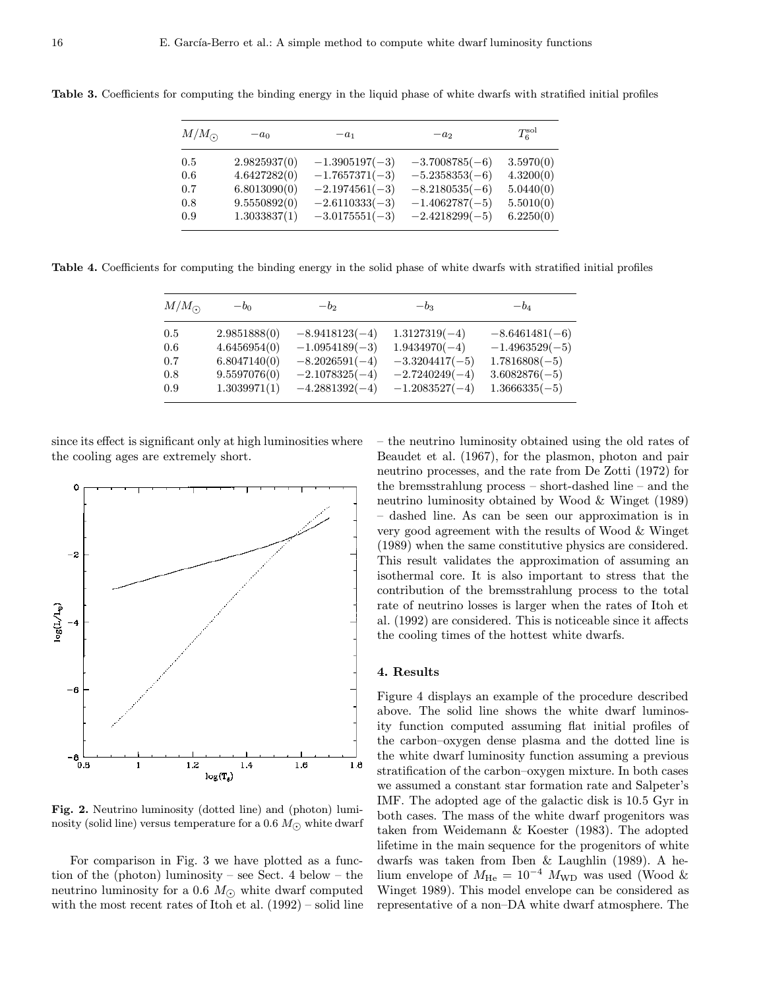| $M/M_{\odot}$ | $-a0$        | $-a_1$           | $-a2$            | $T_6^{\rm sol}$ |
|---------------|--------------|------------------|------------------|-----------------|
| 0.5           | 2.9825937(0) | $-1.3905197(-3)$ | $-3.7008785(-6)$ | 3.5970(0)       |
| 0.6           | 4.6427282(0) | $-1.7657371(-3)$ | $-5.2358353(-6)$ | 4.3200(0)       |
| 0.7           | 6.8013090(0) | $-2.1974561(-3)$ | $-8.2180535(-6)$ | 5.0440(0)       |
| 0.8           | 9.5550892(0) | $-2.6110333(-3)$ | $-1.4062787(-5)$ | 5.5010(0)       |
| 0.9           | 1.3033837(1) | $-3.0175551(-3)$ | $-2.4218299(-5)$ | 6.2250(0)       |

Table 3. Coefficients for computing the binding energy in the liquid phase of white dwarfs with stratified initial profiles

Table 4. Coefficients for computing the binding energy in the solid phase of white dwarfs with stratified initial profiles

| $M/M_{\odot}$ | $-b0$        | $-b2$            | $-b_3$           | $-b_4$           |
|---------------|--------------|------------------|------------------|------------------|
| 0.5           | 2.9851888(0) | $-8.9418123(-4)$ | $1.3127319(-4)$  | $-8.6461481(-6)$ |
| 0.6           | 4.6456954(0) | $-1.0954189(-3)$ | $1.9434970(-4)$  | $-1.4963529(-5)$ |
| 0.7           | 6.8047140(0) | $-8.2026591(-4)$ | $-3.3204417(-5)$ | $1.7816808(-5)$  |
| 0.8           | 9.5597076(0) | $-2.1078325(-4)$ | $-2.7240249(-4)$ | $3.6082876(-5)$  |
| 0.9           | 1.3039971(1) | $-4.2881392(-4)$ | $-1.2083527(-4)$ | $1.3666335(-5)$  |

since its effect is significant only at high luminosities where the cooling ages are extremely short.



Fig. 2. Neutrino luminosity (dotted line) and (photon) luminosity (solid line) versus temperature for a 0.6  $M_{\odot}$  white dwarf

For comparison in Fig. 3 we have plotted as a function of the (photon) luminosity – see Sect. 4 below – the neutrino luminosity for a 0.6  $M_{\odot}$  white dwarf computed with the most recent rates of Itoh et al. (1992) – solid line – the neutrino luminosity obtained using the old rates of Beaudet et al. (1967), for the plasmon, photon and pair neutrino processes, and the rate from De Zotti (1972) for the bremsstrahlung process – short-dashed line – and the neutrino luminosity obtained by Wood & Winget (1989) – dashed line. As can be seen our approximation is in very good agreement with the results of Wood & Winget (1989) when the same constitutive physics are considered. This result validates the approximation of assuming an isothermal core. It is also important to stress that the contribution of the bremsstrahlung process to the total rate of neutrino losses is larger when the rates of Itoh et al. (1992) are considered. This is noticeable since it affects the cooling times of the hottest white dwarfs.

### 4. Results

Figure 4 displays an example of the procedure described above. The solid line shows the white dwarf luminosity function computed assuming flat initial profiles of the carbon–oxygen dense plasma and the dotted line is the white dwarf luminosity function assuming a previous stratification of the carbon–oxygen mixture. In both cases we assumed a constant star formation rate and Salpeter's IMF. The adopted age of the galactic disk is 10.5 Gyr in both cases. The mass of the white dwarf progenitors was taken from Weidemann & Koester (1983). The adopted lifetime in the main sequence for the progenitors of white dwarfs was taken from Iben & Laughlin (1989). A helium envelope of  $M_{\text{He}} = 10^{-4}$   $M_{\text{WD}}$  was used (Wood & Winget 1989). This model envelope can be considered as representative of a non–DA white dwarf atmosphere. The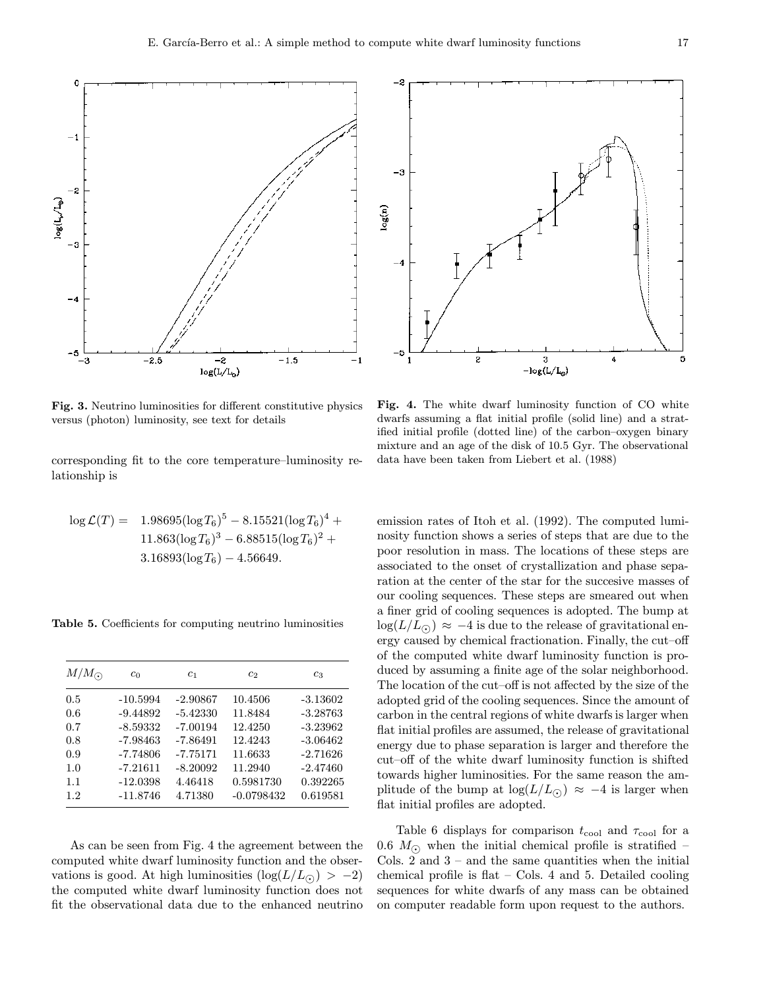

Fig. 3. Neutrino luminosities for different constitutive physics versus (photon) luminosity, see text for details

corresponding fit to the core temperature–luminosity relationship is

$$
\log \mathcal{L}(T) = 1.98695(\log T_6)^5 - 8.15521(\log T_6)^4 + 11.863(\log T_6)^3 - 6.88515(\log T_6)^2 + 3.16893(\log T_6) - 4.56649.
$$

Table 5. Coefficients for computing neutrino luminosities

| $M/M_{\odot}$ | c <sub>0</sub> | c <sub>1</sub> | c <sub>2</sub> | $c_3$      |
|---------------|----------------|----------------|----------------|------------|
| 0.5           | $-10.5994$     | $-2.90867$     | 10.4506        | $-3.13602$ |
| 0.6           | $-9.44892$     | $-5.42330$     | 11.8484        | $-3.28763$ |
| 0.7           | $-8.59332$     | $-7.00194$     | 12.4250        | $-3.23962$ |
| 0.8           | $-7.98463$     | $-7.86491$     | 12.4243        | $-3.06462$ |
| 0.9           | $-7.74806$     | $-7.75171$     | 11.6633        | $-2.71626$ |
| 1.0           | $-7.21611$     | $-8.20092$     | 11.2940        | $-2.47460$ |
| 1.1           | $-12.0398$     | 4.46418        | 0.5981730      | 0.392265   |
| 1.2           | $-11.8746$     | 4.71380        | $-0.0798432$   | 0.619581   |

As can be seen from Fig. 4 the agreement between the computed white dwarf luminosity function and the observations is good. At high luminosities  $(\log(L/L_{\odot})) > -2$ ) the computed white dwarf luminosity function does not fit the observational data due to the enhanced neutrino



Fig. 4. The white dwarf luminosity function of CO white dwarfs assuming a flat initial profile (solid line) and a stratified initial profile (dotted line) of the carbon–oxygen binary mixture and an age of the disk of 10.5 Gyr. The observational data have been taken from Liebert et al. (1988)

emission rates of Itoh et al. (1992). The computed luminosity function shows a series of steps that are due to the poor resolution in mass. The locations of these steps are associated to the onset of crystallization and phase separation at the center of the star for the succesive masses of our cooling sequences. These steps are smeared out when a finer grid of cooling sequences is adopted. The bump at  $\log(L/L_{\odot}) \approx -4$  is due to the release of gravitational energy caused by chemical fractionation. Finally, the cut–off of the computed white dwarf luminosity function is produced by assuming a finite age of the solar neighborhood. The location of the cut–off is not affected by the size of the adopted grid of the cooling sequences. Since the amount of carbon in the central regions of white dwarfs is larger when flat initial profiles are assumed, the release of gravitational energy due to phase separation is larger and therefore the cut–off of the white dwarf luminosity function is shifted towards higher luminosities. For the same reason the amplitude of the bump at  $\log(L/L_{\odot}) \approx -4$  is larger when flat initial profiles are adopted.

Table 6 displays for comparison  $t_{\text{cool}}$  and  $\tau_{\text{cool}}$  for a 0.6  $M_{\odot}$  when the initial chemical profile is stratified – Cols. 2 and  $3$  – and the same quantities when the initial chemical profile is flat – Cols. 4 and 5. Detailed cooling sequences for white dwarfs of any mass can be obtained on computer readable form upon request to the authors.